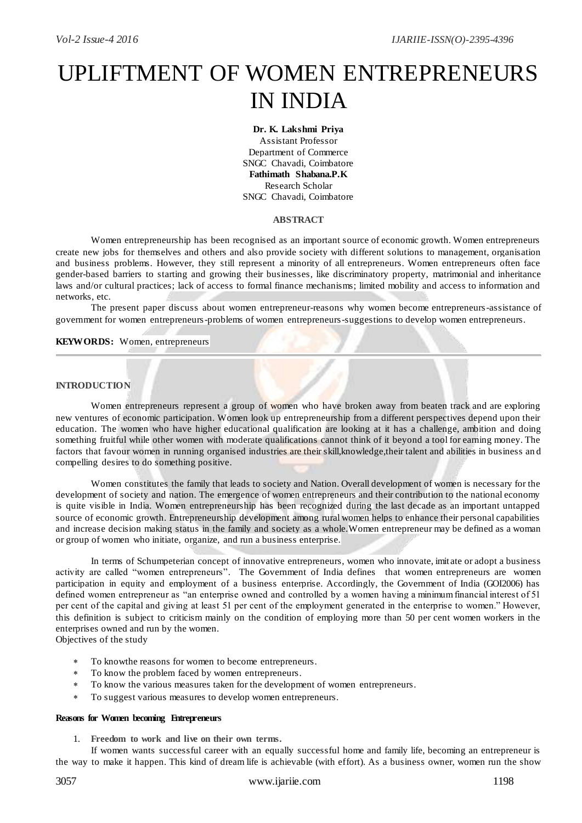# UPLIFTMENT OF WOMEN ENTREPRENEURS IN INDIA

## **Dr. K. Lakshmi Priya**

Assistant Professor Department of Commerce SNGC Chavadi, Coimbatore **Fathimath Shabana.P.K** Research Scholar SNGC Chavadi, Coimbatore

#### **ABSTRACT**

Women entrepreneurship has been recognised as an important source of economic growth. Women entrepreneurs create new jobs for themselves and others and also provide society with different solutions to management, organisation and business problems. However, they still represent a minority of all entrepreneurs. Women entrepreneurs often face gender-based barriers to starting and growing their businesses, like discriminatory property, matrimonial and inheritance laws and/or cultural practices; lack of access to formal finance mechanisms; limited mobility and access to information and networks, etc.

The present paper discuss about women entrepreneur-reasons why women become entrepreneurs-assistance of government for women entrepreneurs-problems of women entrepreneurs-suggestions to develop women entrepreneurs.

**KEYWORDS:** Women, entrepreneurs

#### **INTRODUCTION**

Women entrepreneurs represent a group of women who have broken away from beaten track and are exploring new ventures of economic participation. Women look up entrepreneurship from a different perspectives depend upon their education. The women who have higher educational qualification are looking at it has a challenge, ambition and doing something fruitful while other women with moderate qualifications cannot think of it beyond a tool for earning money. The factors that favour women in running organised industries are their skill, knowledge, their talent and abilities in business and compelling desires to do something positive.

Women constitutes the family that leads to society and Nation. Overall development of women is necessary for the development of society and nation. The emergence of women entrepreneurs and their contribution to the national economy is quite visible in India. Women entrepreneurship has been recognized during the last decade as an important untapped source of economic growth. Entrepreneurship development among rural women helps to enhance their personal capabilities and increase decision making status in the family and society as a whole.Women entrepreneur may be defined as a woman or group of women who initiate, organize, and run a business enterprise.

In terms of Schumpeterian concept of innovative entrepreneurs, women who innovate, imit ate or adopt a business activity are called "women entrepreneurs". The Government of India defines that women entrepreneurs are women participation in equity and employment of a business enterprise. Accordingly, the Government of India (GOI2006) has defined women entrepreneur as "an enterprise owned and controlled by a women having a minimum financial interest of 51 per cent of the capital and giving at least 51 per cent of the employment generated in the enterprise to women." However, this definition is subject to criticism mainly on the condition of employing more than 50 per cent women workers in the enterprises owned and run by the women.

Objectives of the study

- To knowthe reasons for women to become entrepreneurs.
- To know the problem faced by women entrepreneurs.
- To know the various measures taken for the development of women entrepreneurs.
- To suggest various measures to develop women entrepreneurs.

#### **Reasons for Women becoming Entrepreneurs**

1. **Freedom to work and live on their own terms.**

If women wants successful career with an equally successful home and family life, becoming an entrepreneur is the way to make it happen. This kind of dream life is achievable (with effort). As a business owner, women run the show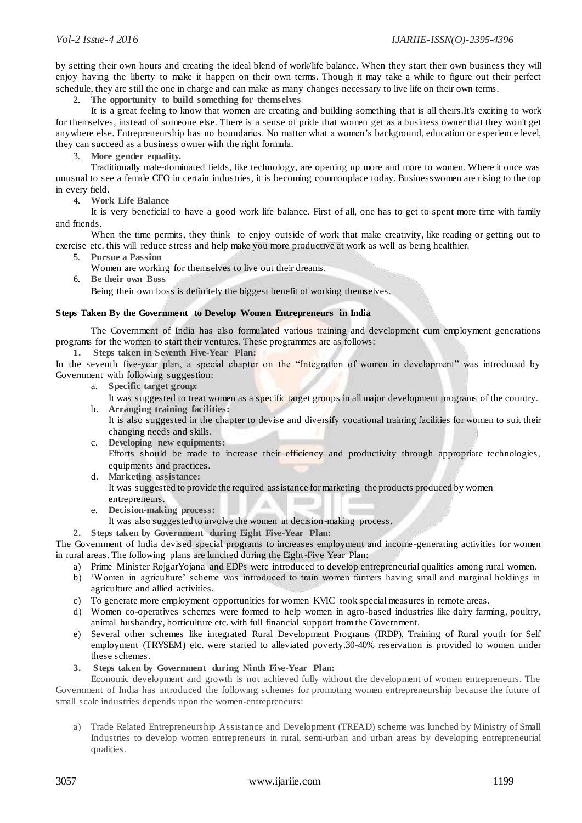by setting their own hours and creating the ideal blend of work/life balance. When they start their own business they will enjoy having the liberty to make it happen on their own terms. Though it may take a while to figure out their perfect schedule, they are still the one in charge and can make as many changes necessary to live life on their own terms.

2. **The opportunity to build something for themselves** 

It is a great feeling to know that women are creating and building something that is all theirs.It's exciting to work for themselves, instead of someone else. There is a sense of pride that women get as a business owner that they won't get anywhere else. Entrepreneurship has no boundaries. No matter what a women"s background, education or experience level, they can succeed as a business owner with the right formula.

3. **More gender equality.**

Traditionally male-dominated fields, like technology, are opening up more and more to women. Where it once was unusual to see a female CEO in certain industries, it is becoming commonplace today. Businesswomen are rising to the top in every field.

4. **Work Life Balance**

It is very beneficial to have a good work life balance. First of all, one has to get to spent more time with family and friends.

When the time permits, they think to enjoy outside of work that make creativity, like reading or getting out to exercise etc. this will reduce stress and help make you more productive at work as well as being healthier.

5. **Pursue a Passion** 

Women are working for themselves to live out their dreams.

6. **Be their own Boss**

Being their own boss is definitely the biggest benefit of working themselves.

#### **Steps Taken By the Government to Develop Women Entrepreneurs in India**

The Government of India has also formulated various training and development cum employment generations programs for the women to start their ventures. These programmes are as follows:

**1. Steps taken in Seventh Five-Year Plan:**

In the seventh five-year plan, a special chapter on the "Integration of women in development" was introduced by Government with following suggestion:

a. **Specific target group:**

It was suggested to treat women as a specific target groups in all major development programs of the country. b. **Arranging training facilities:**

- It is also suggested in the chapter to devise and diversify vocational training facilities for women to suit their changing needs and skills.
- c. **Developing new equipments:** Efforts should be made to increase their efficiency and productivity through appropriate technologies, equipments and practices.
- d. **Marketing assistance:** It was suggested to provide the required assistance for marketing the products produced by women entrepreneurs. 10 a.
- e. **Decision-making process:**
	- It was also suggested to involve the women in decision-making process.
- **2. Steps taken by Government during Eight Five-Year Plan:**

The Government of India devised special programs to increases employment and income -generating activities for women in rural areas. The following plans are lunched during the Eight-Five Year Plan:

- a) Prime Minister RojgarYojana and EDPs were introduced to develop entrepreneurial qualities among rural women.
- b) "Women in agriculture" scheme was introduced to train women farmers having small and marginal holdings in agriculture and allied activities.
- c) To generate more employment opportunities for women KVIC took special measures in remote areas.
- d) Women co-operatives schemes were formed to help women in agro-based industries like dairy farming, poultry, animal husbandry, horticulture etc. with full financial support from the Government.
- e) Several other schemes like integrated Rural Development Programs (IRDP), Training of Rural youth for Self employment (TRYSEM) etc. were started to alleviated poverty.30-40% reservation is provided to women under these schemes.
- **3. Steps taken by Government during Ninth Five-Year Plan:**

Economic development and growth is not achieved fully without the development of women entrepreneurs. The Government of India has introduced the following schemes for promoting women entrepreneurship because the future of small scale industries depends upon the women-entrepreneurs:

a) Trade Related Entrepreneurship Assistance and Development (TREAD) scheme was lunched by Ministry of Small Industries to develop women entrepreneurs in rural, semi-urban and urban areas by developing entrepreneurial qualities.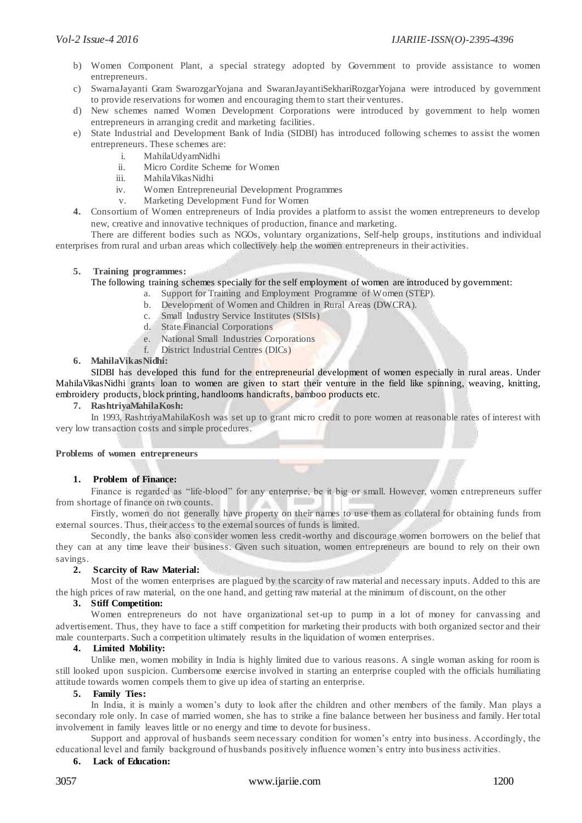- b) Women Component Plant, a special strategy adopted by Government to provide assistance to women entrepreneurs.
- c) SwarnaJayanti Gram SwarozgarYojana and SwaranJayantiSekhariRozgarYojana were introduced by government to provide reservations for women and encouraging them to start their ventures.
- d) New schemes named Women Development Corporations were introduced by government to help women entrepreneurs in arranging credit and marketing facilities.
- e) State Industrial and Development Bank of India (SIDBI) has introduced following schemes to assist the women entrepreneurs. These schemes are:
	- i. MahilaUdyamNidhi
	- ii. Micro Cordite Scheme for Women
	- iii. MahilaVikasNidhi
	- iv. Women Entrepreneurial Development Programmes
	- v. Marketing Development Fund for Women
- **4.** Consortium of Women entrepreneurs of India provides a platform to assist the women entrepreneurs to develop new, creative and innovative techniques of production, finance and marketing.

There are different bodies such as NGOs, voluntary organizations, Self-help groups, institutions and individual enterprises from rural and urban areas which collectively help the women entrepreneurs in their activities.

### **5. Training programmes:**

The following training schemes specially for the self employment of women are introduced by government:

- a. Support for Training and Employment Programme of Women (STEP).
- b. Development of Women and Children in Rural Areas (DWCRA).
	- c. Small Industry Service Institutes (SISIs)
	- d. State Financial Corporations
	- e. National Small Industries Corporations
	- f. District Industrial Centres (DICs)

## **6. MahilaVikasNidhi:**

SIDBI has developed this fund for the entrepreneurial development of women especially in rural areas. Under MahilaVikasNidhi grants loan to women are given to start their venture in the field like spinning, weaving, knitting, embroidery products, block printing, handlooms handicrafts, bamboo products etc.

#### **7. RashtriyaMahilaKosh:**

In 1993, RashtriyaMahilaKosh was set up to grant micro credit to pore women at reasonable rates of interest with very low transaction costs and simple procedures.

#### **Problems of women entrepreneurs**

### **1. Problem of Finance:**

Finance is regarded as "life-blood" for any enterprise, be it big or small. However, women entrepreneurs suffer from shortage of finance on two counts.

Firstly, women do not generally have property on their names to use them as collateral for obtaining funds from external sources. Thus, their access to the external sources of funds is limited.

Secondly, the banks also consider women less credit-worthy and discourage women borrowers on the belief that they can at any time leave their business. Given such situation, women entrepreneurs are bound to rely on their own savings.

### **2. Scarcity of Raw Material:**

Most of the women enterprises are plagued by the scarcity of raw material and necessary inputs. Added to this are the high prices of raw material, on the one hand, and getting raw material at the minimum of discount, on the other

### **3. Stiff Competition:**

Women entrepreneurs do not have organizational set-up to pump in a lot of money for canvassing and advertisement. Thus, they have to face a stiff competition for marketing their products with both organized sector and their male counterparts. Such a competition ultimately results in the liquidation of women enterprises.

### **4. Limited Mobility:**

Unlike men, women mobility in India is highly limited due to various reasons. A single woman asking for room is still looked upon suspicion. Cumbersome exercise involved in starting an enterprise coupled with the officials humiliating attitude towards women compels them to give up idea of starting an enterprise.

#### **5. Family Ties:**

In India, it is mainly a women's duty to look after the children and other members of the family. Man plays a secondary role only. In case of married women, she has to strike a fine balance between her business and family. Her total involvement in family leaves little or no energy and time to devote for business.

Support and approval of husbands seem necessary condition for women"s entry into business. Accordingly, the educational level and family background of husbands positively influence women"s entry into business activities.

#### **6. Lack of Education:**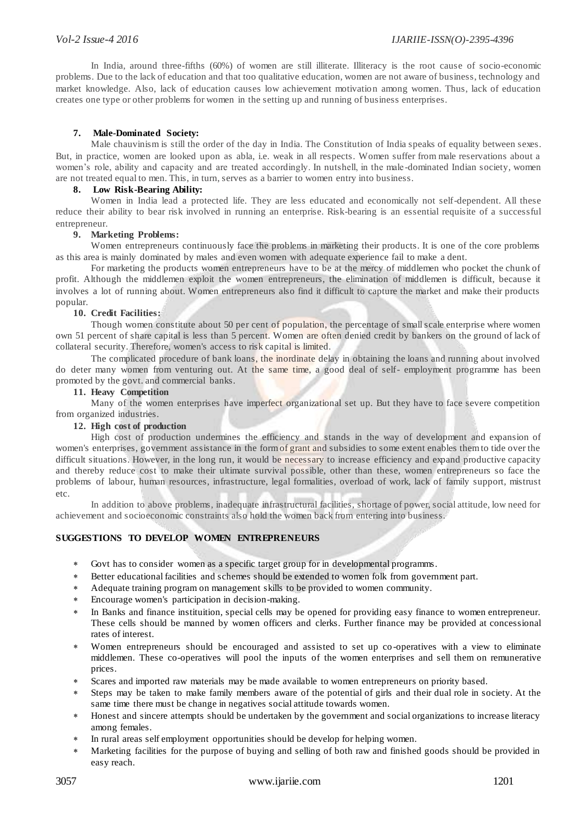In India, around three-fifths (60%) of women are still illiterate. Illiteracy is the root cause of socio-economic problems. Due to the lack of education and that too qualitative education, women are not aware of business, technology and market knowledge. Also, lack of education causes low achievement motivation among women. Thus, lack of education creates one type or other problems for women in the setting up and running of business enterprises.

## **7. Male-Dominated Society:**

Male chauvinism is still the order of the day in India. The Constitution of India speaks of equality between sexes. But, in practice, women are looked upon as abla, i.e. weak in all respects. Women suffer from male reservations about a women's role, ability and capacity and are treated accordingly. In nutshell, in the male-dominated Indian society, women are not treated equal to men. This, in turn, serves as a barrier to women entry into business.

# **8. Low Risk-Bearing Ability:**

Women in India lead a protected life. They are less educated and economically not self-dependent. All these reduce their ability to bear risk involved in running an enterprise. Risk-bearing is an essential requisite of a successful entrepreneur.

### **9. Marketing Problems:**

Women entrepreneurs continuously face the problems in marketing their products. It is one of the core problems as this area is mainly dominated by males and even women with adequate experience fail to make a dent.

For marketing the products women entrepreneurs have to be at the mercy of middlemen who pocket the chunk of profit. Although the middlemen exploit the women entrepreneurs, the elimination of middlemen is difficult, because it involves a lot of running about. Women entrepreneurs also find it difficult to capture the market and make their products popular.

## **10. Credit Facilities:**

Though women constitute about 50 per cent of population, the percentage of small scale enterprise where women own 51 percent of share capital is less than 5 percent. Women are often denied credit by bankers on the ground of lack of collateral security. Therefore, women's access to risk capital is limited.

The complicated procedure of bank loans, the inordinate delay in obtaining the loans and running about involved do deter many women from venturing out. At the same time, a good deal of self- employment programme has been promoted by the govt. and commercial banks.

### **11. Heavy Competition**

Many of the women enterprises have imperfect organizational set up. But they have to face severe competition from organized industries.

## **12. High cost of production**

High cost of production undermines the efficiency and stands in the way of development and expansion of women's enterprises, government assistance in the form of grant and subsidies to some extent enables them to tide over the difficult situations. However, in the long run, it would be necessary to increase efficiency and expand productive capacity and thereby reduce cost to make their ultimate survival possible, other than these, women entrepreneurs so face the problems of labour, human resources, infrastructure, legal formalities, overload of work, lack of family support, mistrust etc.

In addition to above problems, inadequate infrastructural facilities, shortage of power, social attitude, low need for achievement and socioeconomic constraints also hold the women back from entering into business.

# **SUGGESTIONS TO DEVELOP WOMEN ENTREPRENEURS**

- Govt has to consider women as a specific target group for in developmental programms.
- Better educational facilities and schemes should be extended to women folk from government part.
- Adequate training program on management skills to be provided to women community.
- Encourage women's participation in decision-making.
- In Banks and finance instituition, special cells may be opened for providing easy finance to women entrepreneur. These cells should be manned by women officers and clerks. Further finance may be provided at concessional rates of interest.
- Women entrepreneurs should be encouraged and assisted to set up co -operatives with a view to eliminate middlemen. These co-operatives will pool the inputs of the women enterprises and sell them on remunerative prices.
- Scares and imported raw materials may be made available to women entrepreneurs on priority based.
- Steps may be taken to make family members aware of the potential of girls and their dual role in society. At the same time there must be change in negatives social attitude towards women.
- Honest and sincere attempts should be undertaken by the government and social organizations to increase literacy among females.
- In rural areas self employment opportunities should be develop for helping women.
- Marketing facilities for the purpose of buying and selling of both raw and finished goods should be provided in easy reach.